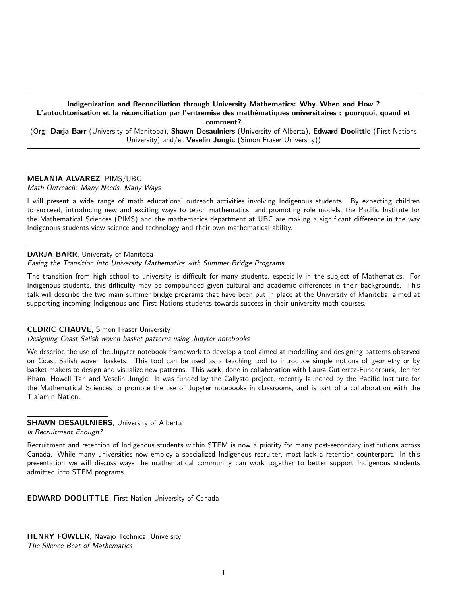Indigenization and Reconciliation through University Mathematics: Why, When and How ? L'autochtonisation et la réconciliation par l'entremise des mathématiques universitaires : pourquoi, quand et comment? (Org: Darja Barr (University of Manitoba), Shawn Desaulniers (University of Alberta), Edward Doolittle (First Nations

University) and/et Veselin Jungic (Simon Fraser University))

# MELANIA ALVAREZ, PIMS/UBC

Math Outreach: Many Needs, Many Ways

I will present a wide range of math educational outreach activities involving Indigenous students. By expecting children to succeed, introducing new and exciting ways to teach mathematics, and promoting role models, the Pacific Institute for the Mathematical Sciences (PIMS) and the mathematics department at UBC are making a significant difference in the way Indigenous students view science and technology and their own mathematical ability.

## DARJA BARR, University of Manitoba

# Easing the Transition into University Mathematics with Summer Bridge Programs

The transition from high school to university is difficult for many students, especially in the subject of Mathematics. For Indigenous students, this difficulty may be compounded given cultural and academic differences in their backgrounds. This talk will describe the two main summer bridge programs that have been put in place at the University of Manitoba, aimed at supporting incoming Indigenous and First Nations students towards success in their university math courses.

#### CEDRIC CHAUVE, Simon Fraser University

Designing Coast Salish woven basket patterns using Jupyter notebooks

We describe the use of the Jupyter notebook framework to develop a tool aimed at modelling and designing patterns observed on Coast Salish woven baskets. This tool can be used as a teaching tool to introduce simple notions of geometry or by basket makers to design and visualize new patterns. This work, done in collaboration with Laura Gutierrez-Funderburk, Jenifer Pham, Howell Tan and Veselin Jungic. It was funded by the Callysto project, recently launched by the Pacific Institute for the Mathematical Sciences to promote the use of Jupyter notebooks in classrooms, and is part of a collaboration with the Tla'amin Nation.

## SHAWN DESAULNIERS, University of Alberta

Is Recruitment Enough?

Recruitment and retention of Indigenous students within STEM is now a priority for many post-secondary institutions across Canada. While many universities now employ a specialized Indigenous recruiter, most lack a retention counterpart. In this presentation we will discuss ways the mathematical community can work together to better support Indigenous students admitted into STEM programs.

EDWARD DOOLITTLE, First Nation University of Canada

**HENRY FOWLER, Navajo Technical University** The Silence Beat of Mathematics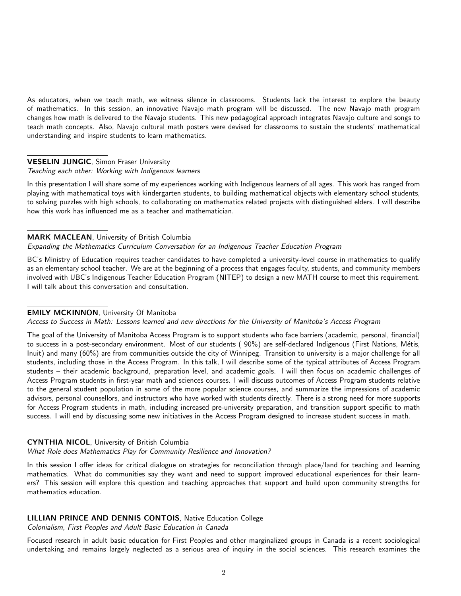As educators, when we teach math, we witness silence in classrooms. Students lack the interest to explore the beauty of mathematics. In this session, an innovative Navajo math program will be discussed. The new Navajo math program changes how math is delivered to the Navajo students. This new pedagogical approach integrates Navajo culture and songs to teach math concepts. Also, Navajo cultural math posters were devised for classrooms to sustain the students' mathematical understanding and inspire students to learn mathematics.

## VESELIN JUNGIC, Simon Fraser University

#### Teaching each other: Working with Indigenous learners

In this presentation I will share some of my experiences working with Indigenous learners of all ages. This work has ranged from playing with mathematical toys with kindergarten students, to building mathematical objects with elementary school students, to solving puzzles with high schools, to collaborating on mathematics related projects with distinguished elders. I will describe how this work has influenced me as a teacher and mathematician.

## MARK MACLEAN, University of British Columbia

#### Expanding the Mathematics Curriculum Conversation for an Indigenous Teacher Education Program

BC's Ministry of Education requires teacher candidates to have completed a university-level course in mathematics to qualify as an elementary school teacher. We are at the beginning of a process that engages faculty, students, and community members involved with UBC's Indigenous Teacher Education Program (NITEP) to design a new MATH course to meet this requirement. I will talk about this conversation and consultation.

# EMILY MCKINNON, University Of Manitoba

Access to Success in Math: Lessons learned and new directions for the University of Manitoba's Access Program

The goal of the University of Manitoba Access Program is to support students who face barriers (academic, personal, financial) to success in a post-secondary environment. Most of our students (90%) are self-declared Indigenous (First Nations, Métis, Inuit) and many (60%) are from communities outside the city of Winnipeg. Transition to university is a major challenge for all students, including those in the Access Program. In this talk, I will describe some of the typical attributes of Access Program students – their academic background, preparation level, and academic goals. I will then focus on academic challenges of Access Program students in first-year math and sciences courses. I will discuss outcomes of Access Program students relative to the general student population in some of the more popular science courses, and summarize the impressions of academic advisors, personal counsellors, and instructors who have worked with students directly. There is a strong need for more supports for Access Program students in math, including increased pre-university preparation, and transition support specific to math success. I will end by discussing some new initiatives in the Access Program designed to increase student success in math.

#### CYNTHIA NICOL, University of British Columbia

What Role does Mathematics Play for Community Resilience and Innovation?

In this session I offer ideas for critical dialogue on strategies for reconciliation through place/land for teaching and learning mathematics. What do communities say they want and need to support improved educational experiences for their learners? This session will explore this question and teaching approaches that support and build upon community strengths for mathematics education.

#### LILLIAN PRINCE AND DENNIS CONTOIS, Native Education College

Colonialism, First Peoples and Adult Basic Education in Canada

Focused research in adult basic education for First Peoples and other marginalized groups in Canada is a recent sociological undertaking and remains largely neglected as a serious area of inquiry in the social sciences. This research examines the